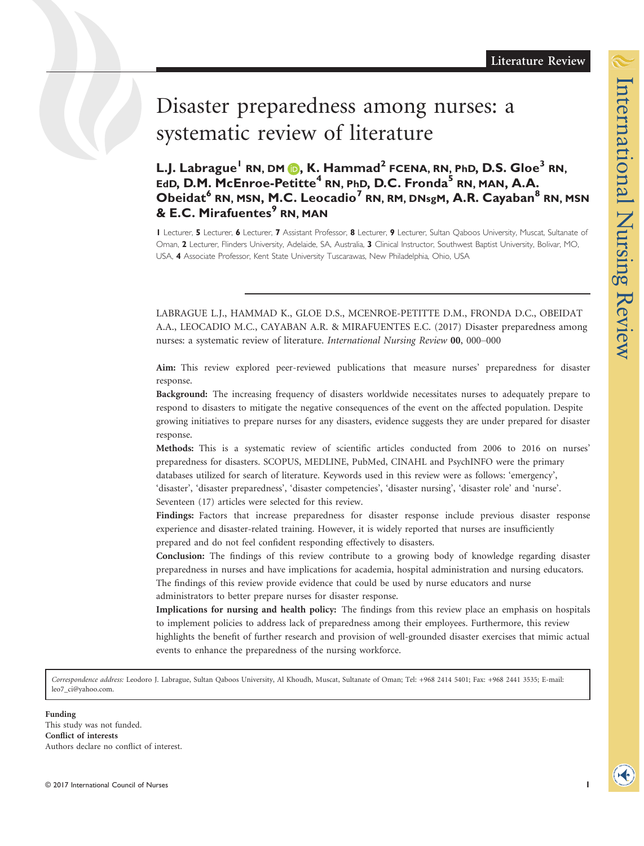# Disaster preparedness among nurses: a systematic review of literature

L.J. Labrague<sup>1</sup> RN, DM  $\bigcirc$ , K. Hammad<sup>2</sup> FCENA, RN, PhD, D.S. Gloe<sup>3</sup> RN, EdD, D.M. McEnroe-Petitte<sup>4</sup> RN, PhD, D.C. Fronda<sup>5</sup> RN, MAN, A.A. Obeidat<sup>6</sup> RN, MSN, M.C. Leocadio<sup>7</sup> RN, RM, DNsgM, A.R. Cayaban<sup>8</sup> RN, MSN & E.C. Mirafuentes<sup>9</sup> RN. MAN

1 Lecturer, 5 Lecturer, 6 Lecturer, 7 Assistant Professor, 8 Lecturer, 9 Lecturer, Sultan Qaboos University, Muscat, Sultanate of Oman, 2 Lecturer, Flinders University, Adelaide, SA, Australia, 3 Clinical Instructor, Southwest Baptist University, Bolivar, MO, USA, 4 Associate Professor, Kent State University Tuscarawas, New Philadelphia, Ohio, USA

LABRAGUE L.J., HAMMAD K., GLOE D.S., MCENROE-PETITTE D.M., FRONDA D.C., OBEIDAT A.A., LEOCADIO M.C., CAYABAN A.R. & MIRAFUENTES E.C. (2017) Disaster preparedness among nurses: a systematic review of literature. International Nursing Review 00, 000–000

Aim: This review explored peer-reviewed publications that measure nurses' preparedness for disaster response.

Background: The increasing frequency of disasters worldwide necessitates nurses to adequately prepare to respond to disasters to mitigate the negative consequences of the event on the affected population. Despite growing initiatives to prepare nurses for any disasters, evidence suggests they are under prepared for disaster response.

Methods: This is a systematic review of scientific articles conducted from 2006 to 2016 on nurses' preparedness for disasters. SCOPUS, MEDLINE, PubMed, CINAHL and PsychINFO were the primary databases utilized for search of literature. Keywords used in this review were as follows: 'emergency', 'disaster', 'disaster preparedness', 'disaster competencies', 'disaster nursing', 'disaster role' and 'nurse'.

Seventeen (17) articles were selected for this review.

Findings: Factors that increase preparedness for disaster response include previous disaster response experience and disaster-related training. However, it is widely reported that nurses are insufficiently prepared and do not feel confident responding effectively to disasters.

Conclusion: The findings of this review contribute to a growing body of knowledge regarding disaster preparedness in nurses and have implications for academia, hospital administration and nursing educators. The findings of this review provide evidence that could be used by nurse educators and nurse administrators to better prepare nurses for disaster response.

Implications for nursing and health policy: The findings from this review place an emphasis on hospitals to implement policies to address lack of preparedness among their employees. Furthermore, this review highlights the benefit of further research and provision of well-grounded disaster exercises that mimic actual

events to enhance the preparedness of the nursing workforce.

Correspondence address: Leodoro J. Labrague, Sultan Qaboos University, Al Khoudh, Muscat, Sultanate of Oman; Tel: +968 2414 5401; Fax: +968 2441 3535; E-mail: leo7\_ci@yahoo.com.

This study was not funded. Conflict of interests Authors declare no conflict of interest.

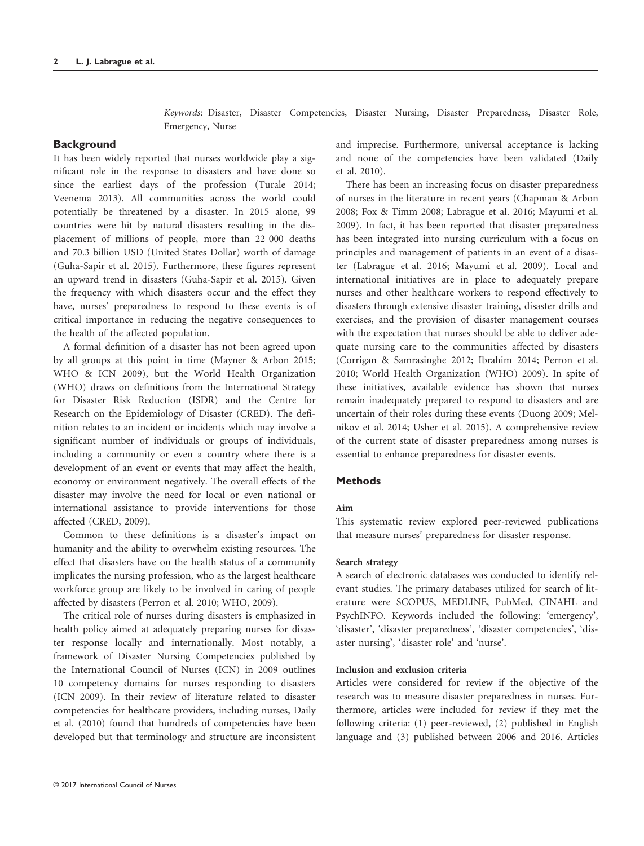Keywords: Disaster, Disaster Competencies, Disaster Nursing, Disaster Preparedness, Disaster Role, Emergency, Nurse

## **Background**

It has been widely reported that nurses worldwide play a significant role in the response to disasters and have done so since the earliest days of the profession (Turale 2014; Veenema 2013). All communities across the world could potentially be threatened by a disaster. In 2015 alone, 99 countries were hit by natural disasters resulting in the displacement of millions of people, more than 22 000 deaths and 70.3 billion USD (United States Dollar) worth of damage (Guha-Sapir et al. 2015). Furthermore, these figures represent an upward trend in disasters (Guha-Sapir et al. 2015). Given the frequency with which disasters occur and the effect they have, nurses' preparedness to respond to these events is of critical importance in reducing the negative consequences to the health of the affected population.

A formal definition of a disaster has not been agreed upon by all groups at this point in time (Mayner & Arbon 2015; WHO & ICN 2009), but the World Health Organization (WHO) draws on definitions from the International Strategy for Disaster Risk Reduction (ISDR) and the Centre for Research on the Epidemiology of Disaster (CRED). The definition relates to an incident or incidents which may involve a significant number of individuals or groups of individuals, including a community or even a country where there is a development of an event or events that may affect the health, economy or environment negatively. The overall effects of the disaster may involve the need for local or even national or international assistance to provide interventions for those affected (CRED, 2009).

Common to these definitions is a disaster's impact on humanity and the ability to overwhelm existing resources. The effect that disasters have on the health status of a community implicates the nursing profession, who as the largest healthcare workforce group are likely to be involved in caring of people affected by disasters (Perron et al. 2010; WHO, 2009).

The critical role of nurses during disasters is emphasized in health policy aimed at adequately preparing nurses for disaster response locally and internationally. Most notably, a framework of Disaster Nursing Competencies published by the International Council of Nurses (ICN) in 2009 outlines 10 competency domains for nurses responding to disasters (ICN 2009). In their review of literature related to disaster competencies for healthcare providers, including nurses, Daily et al. (2010) found that hundreds of competencies have been developed but that terminology and structure are inconsistent and imprecise. Furthermore, universal acceptance is lacking and none of the competencies have been validated (Daily et al. 2010).

There has been an increasing focus on disaster preparedness of nurses in the literature in recent years (Chapman & Arbon 2008; Fox & Timm 2008; Labrague et al. 2016; Mayumi et al. 2009). In fact, it has been reported that disaster preparedness has been integrated into nursing curriculum with a focus on principles and management of patients in an event of a disaster (Labrague et al. 2016; Mayumi et al. 2009). Local and international initiatives are in place to adequately prepare nurses and other healthcare workers to respond effectively to disasters through extensive disaster training, disaster drills and exercises, and the provision of disaster management courses with the expectation that nurses should be able to deliver adequate nursing care to the communities affected by disasters (Corrigan & Samrasinghe 2012; Ibrahim 2014; Perron et al. 2010; World Health Organization (WHO) 2009). In spite of these initiatives, available evidence has shown that nurses remain inadequately prepared to respond to disasters and are uncertain of their roles during these events (Duong 2009; Melnikov et al. 2014; Usher et al. 2015). A comprehensive review of the current state of disaster preparedness among nurses is essential to enhance preparedness for disaster events.

# Methods

#### Aim

This systematic review explored peer-reviewed publications that measure nurses' preparedness for disaster response.

#### Search strategy

A search of electronic databases was conducted to identify relevant studies. The primary databases utilized for search of literature were SCOPUS, MEDLINE, PubMed, CINAHL and PsychINFO. Keywords included the following: 'emergency', 'disaster', 'disaster preparedness', 'disaster competencies', 'disaster nursing', 'disaster role' and 'nurse'.

# Inclusion and exclusion criteria

Articles were considered for review if the objective of the research was to measure disaster preparedness in nurses. Furthermore, articles were included for review if they met the following criteria: (1) peer-reviewed, (2) published in English language and (3) published between 2006 and 2016. Articles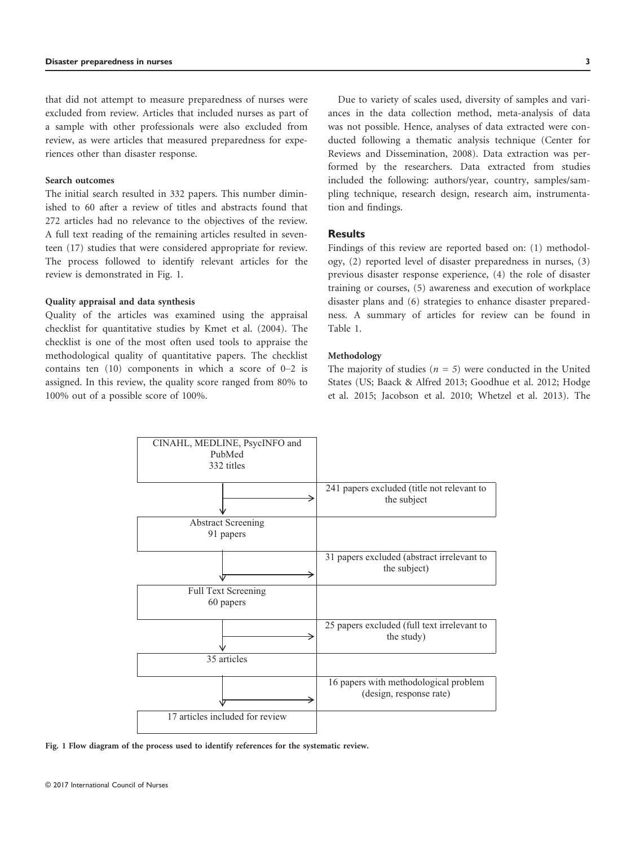that did not attempt to measure preparedness of nurses were excluded from review. Articles that included nurses as part of a sample with other professionals were also excluded from review, as were articles that measured preparedness for experiences other than disaster response.

#### Search outcomes

The initial search resulted in 332 papers. This number diminished to 60 after a review of titles and abstracts found that 272 articles had no relevance to the objectives of the review. A full text reading of the remaining articles resulted in seventeen (17) studies that were considered appropriate for review. The process followed to identify relevant articles for the review is demonstrated in Fig. 1.

#### Quality appraisal and data synthesis

Quality of the articles was examined using the appraisal checklist for quantitative studies by Kmet et al. (2004). The checklist is one of the most often used tools to appraise the methodological quality of quantitative papers. The checklist contains ten (10) components in which a score of 0–2 is assigned. In this review, the quality score ranged from 80% to 100% out of a possible score of 100%.

Due to variety of scales used, diversity of samples and variances in the data collection method, meta-analysis of data was not possible. Hence, analyses of data extracted were conducted following a thematic analysis technique (Center for Reviews and Dissemination, 2008). Data extraction was performed by the researchers. Data extracted from studies included the following: authors/year, country, samples/sampling technique, research design, research aim, instrumentation and findings.

# **Results**

Findings of this review are reported based on: (1) methodology, (2) reported level of disaster preparedness in nurses, (3) previous disaster response experience, (4) the role of disaster training or courses, (5) awareness and execution of workplace disaster plans and (6) strategies to enhance disaster preparedness. A summary of articles for review can be found in Table 1.

#### Methodology

The majority of studies ( $n=5$ ) were conducted in the United States (US; Baack & Alfred 2013; Goodhue et al. 2012; Hodge et al. 2015; Jacobson et al. 2010; Whetzel et al. 2013). The



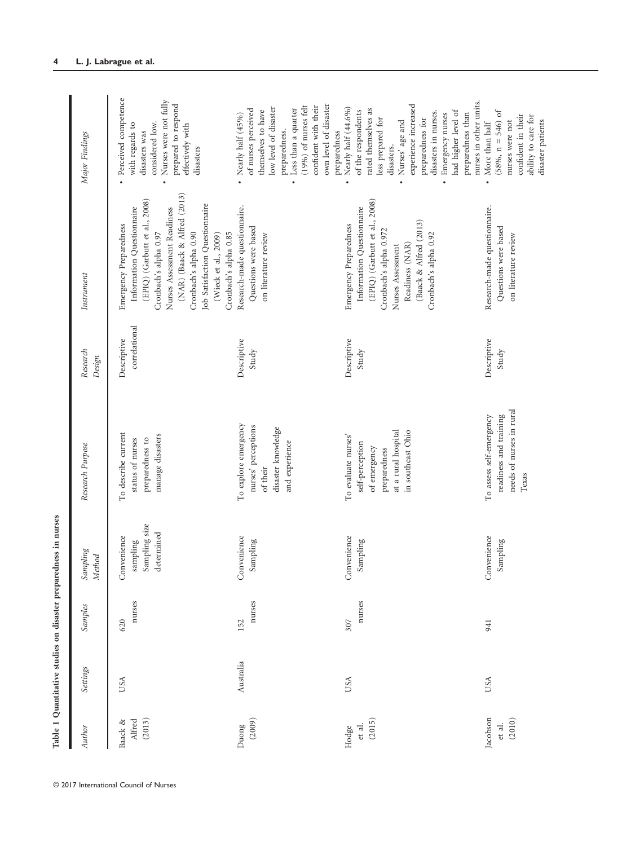| Author                       | Settings  | Samples       | Sampling<br><b>Method</b>                              | Research Purpose                                                                                                   | Research<br>Design           | Instrument                                                                                                                                                                                                                                                                               | Major Findings                                                                                                                                                                                                                                                                     |
|------------------------------|-----------|---------------|--------------------------------------------------------|--------------------------------------------------------------------------------------------------------------------|------------------------------|------------------------------------------------------------------------------------------------------------------------------------------------------------------------------------------------------------------------------------------------------------------------------------------|------------------------------------------------------------------------------------------------------------------------------------------------------------------------------------------------------------------------------------------------------------------------------------|
| (2013)<br>Alfred<br>Baack &  | USA       | nurses<br>620 | Sampling size<br>determined<br>Convenience<br>sampling | To describe current<br>manage disasters<br>status of nurses<br>preparedness to                                     | correlational<br>Descriptive | (NAR) (Baack & Alfred (2013)<br>(EPIQ) (Garbutt et al., 2008)<br>Job Satisfaction Questionnaire<br>Information Questionnaire<br>Nurses Assessment Readiness<br>Emergency Preparedness<br>Cronbach's alpha 0.85<br>Cronbach's alpha 0.97<br>Cronbach's alpha 0.90<br>(Wieck et al., 2009) | · Perceived competence<br>Nurses were not fully<br>prepared to respond<br>considered low.<br>with regards to<br>effectively with<br>disasters was<br>disasters                                                                                                                     |
| (2009)<br>Duong              | Australia | nurses<br>152 | Convenience<br>Sampling                                | To explore emergency<br>nurses' perceptions<br>disaster knowledge<br>and experience<br>of their                    | Descriptive<br>Study         | Research-made questionnaire.<br>Questions were based<br>on literature review                                                                                                                                                                                                             | $(19\%)$ of nurses felt<br>own level of disaster<br>confident with their<br>low level of disaster<br>Less than a quarter<br>of nurses perceived<br>themselves to have<br>• Nearly half $(45\%)$<br>preparedness.<br>preparedness<br>$\bullet$                                      |
| (2015)<br>et al.<br>Hodge    | USA       | nurses<br>307 | Convenience<br>Sampling                                | at a rural hospital<br>in southeast Ohio<br>To evaluate nurses'<br>self-perception<br>of emergency<br>preparedness | Descriptive<br>Study         | (EPIQ) (Garbutt et al., 2008)<br>Information Questionnaire<br>(Baack & Alfred (2013)<br>Emergency Preparedness<br>Cronbach's alpha 0.972<br>Cronbach's alpha 0.92<br>Readiness (NAR)<br>Nurses Assessment                                                                                | experience increased<br>Nearly half (44.6%)<br>rated themselves as<br>had higher level of<br>of the respondents<br>disasters in nurses.<br>preparedness than<br>Emergency nurses<br>less prepared for<br>preparedness for<br>Nurses' age and<br>disasters.<br>$\ddot{\phantom{0}}$ |
| Jacobson<br>(2010)<br>et al. | USA       | 941           | Convenience<br>Sampling                                | needs of nurses in rural<br>readiness and training<br>To assess self-emergency<br>Texas                            | Descriptive<br>Study         | Research-made questionnaire.<br>Questions were based<br>on literature review                                                                                                                                                                                                             | nurses in other units.<br>$(58\%), n = 546$ ) of<br>confident in their<br>ability to care for<br>disaster patients<br>nurses were not<br>• More than half                                                                                                                          |

© 2017 International Council of Nurses

Table 1 Quantitative studies on disaster preparedness in nurses

Table 1 Quantitative studies on disaster preparedness in nurses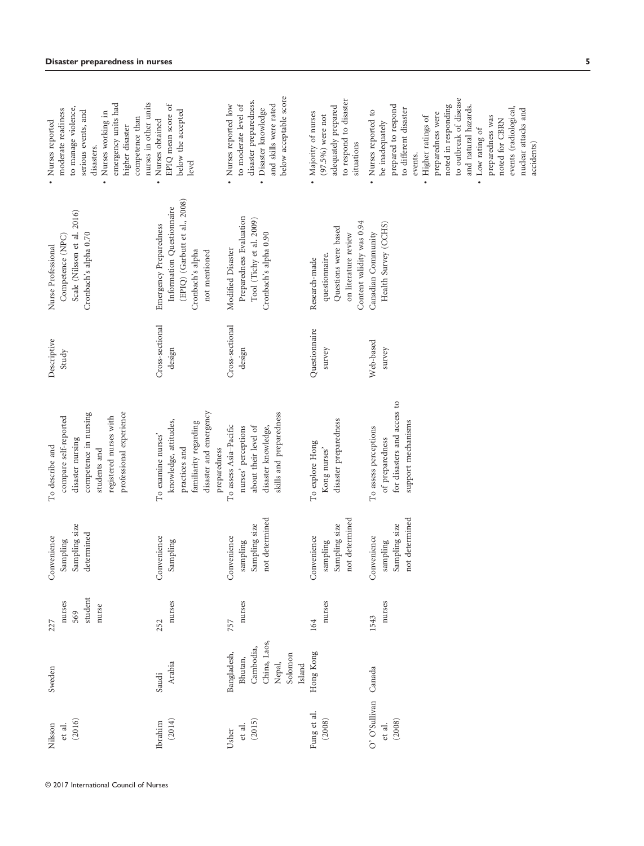| (2016)<br>et al.<br>Nilsson              | Sweden                                                                             | student<br>nurses<br>nurse<br>569<br>227 | Sampling size<br>determined<br>Convenience<br>Sampling     | competence in nursing<br>professional experience<br>compare self-reported<br>registered nurses with<br>disaster nursing<br>To describe and<br>students and | Descriptive<br>Study      | Scale (Nilsson et al. 2016)<br>Competence (NPC)<br>Cronbach's alpha 0.70<br>Nurse Professional                            | emergency units had<br>to manage violence,<br>moderate readiness<br>serious events, and<br>Nurses working in<br>Nurses reported<br>higher disaster<br>disasters.<br>$\bullet$                                                                                                                                               |
|------------------------------------------|------------------------------------------------------------------------------------|------------------------------------------|------------------------------------------------------------|------------------------------------------------------------------------------------------------------------------------------------------------------------|---------------------------|---------------------------------------------------------------------------------------------------------------------------|-----------------------------------------------------------------------------------------------------------------------------------------------------------------------------------------------------------------------------------------------------------------------------------------------------------------------------|
| (2014)<br>Ibrahim                        | Arabia<br>Saudi                                                                    | nurses<br>252                            | Convenience<br>Sampling                                    | disaster and emergency<br>knowledge, attitudes,<br>familiarity regarding<br>To examine nurses'<br>practices and<br>preparedness                            | Cross-sectional<br>design | (EPIQ) (Garbutt et al., 2008)<br>Information Questionnaire<br>Emergency Preparedness<br>Cronbach's alpha<br>not mentioned | nurses in other units<br>$\sigma$<br>below the accepted<br>EPIQ mean score<br>competence than<br>Nurses obtained<br>level<br>$\bullet$                                                                                                                                                                                      |
| (2015)<br>et al.<br>Usher                | China, Laos,<br>Cambodia,<br>Bangladesh,<br>Solomon<br>Bhutan,<br>Nepal,<br>Island | nurses<br>757                            | not determined<br>Sampling size<br>Convenience<br>sampling | skills and preparedness<br>To assess Asia-Pacific<br>about their level of<br>disaster knowledge,<br>nurses' perceptions                                    | Cross-sectional<br>design | Preparedness Evaluation<br>Tool (Tichy et al. 2009)<br>Cronbach's alpha 0.90<br>Modified Disaster                         | below acceptable score<br>disaster preparedness.<br>and skills were rated<br>Nurses reported low<br>to moderate level of<br>Disaster knowledge<br>$\bullet$                                                                                                                                                                 |
| Fung et al.<br>(2008)                    | Hong Kong                                                                          | nurses<br>164                            | not determined<br>Sampling size<br>Convenience<br>sampling | disaster preparedness<br>To explore Hong<br>Kong nurses'                                                                                                   | Questionnaire<br>survey   | Content validity was 0.94<br>Questions were based<br>on literature review<br>questionnaire.<br>Research-made              | to respond to disaster<br>adequately prepared<br>Majority of nurses<br>$(97.5\%)$ were not<br>situations                                                                                                                                                                                                                    |
| O' O'Sullivan Canada<br>(2008)<br>et al. |                                                                                    | nurses<br>1543                           | not determined<br>Sampling size<br>Convenience<br>sampling | for disasters and access to<br>support mechanisms<br>To assess perceptions<br>of preparedness                                                              | Web-based<br>survey       | Health Survey (CCHS)<br>Canadian Community                                                                                | to outbreak of disease<br>noted in responding<br>prepared to respond<br>and natural hazards.<br>events (radiological,<br>to different disaster<br>Nurses reported to<br>preparedness were<br>Higher ratings of<br>preparedness was<br>noted for CBRN<br>be inadequately<br>Low rating of<br>events.<br>$\ddot{\phantom{0}}$ |
|                                          |                                                                                    |                                          |                                                            |                                                                                                                                                            |                           |                                                                                                                           | nuclear attacks and<br>accidents)                                                                                                                                                                                                                                                                                           |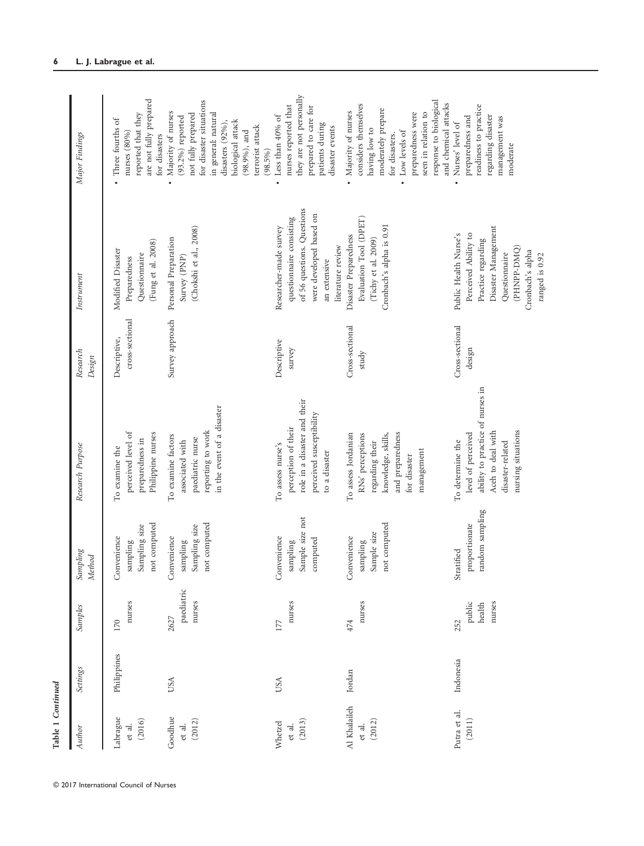| Author                           | Settings    | Samples                           | Sampling<br><b>Method</b>                                          | Research Purpose                                                                                                                          | Research<br>Design              | Instrument                                                                                                                                                       | Major Findings                                                                                                                                                                                                       |
|----------------------------------|-------------|-----------------------------------|--------------------------------------------------------------------|-------------------------------------------------------------------------------------------------------------------------------------------|---------------------------------|------------------------------------------------------------------------------------------------------------------------------------------------------------------|----------------------------------------------------------------------------------------------------------------------------------------------------------------------------------------------------------------------|
| Labrague<br>(2016)<br>et al.     | Philippines | nurses<br>170                     | not computed<br>Sampling size<br>Convenience<br>sampling           | perceived level of<br>Philippine nurses<br>preparedness in<br>To examine the                                                              | cross-sectional<br>Descriptive, | (Fung et al. 2008)<br>Modified Disaster<br>Questionnaire<br>Preparedness                                                                                         | are not fully prepared<br>reported that they<br>Three fourths of<br>nurses (80%)<br>for disasters                                                                                                                    |
| Goodhue<br>(2012)<br>et al.      | USA         | paediatric<br>nurses<br>2627      | not computed<br>Sampling size<br><b>Convenience</b><br>sampling    | in the event of a disaster<br>reporting to work<br>To examine factors<br>paediatric nurse<br>associated with                              | Survey approach                 | (Chokshi et al., 2008)<br>Personal Preparation<br>Survey (PNP)                                                                                                   | for disaster situations<br>Majority of nurses<br>in general: natural<br>not fully prepared<br>$(93.2\%)$ reported<br>biological attack<br>disasters $(92\%)$ ,<br>terrorist attack<br>$(98.9\%)$ , and<br>$(98.5\%)$ |
| (2013)<br>Whetzel<br>et al.      | USA         | nurses<br>177                     | Sample size not<br>Convenience<br>computed<br>sampling             | role in a disaster and their<br>perceived susceptibility<br>perception of their<br>To assess nurse's<br>to a disaster                     | Descriptive<br>survey           | of 56 questions. Questions<br>were developed based on<br>questionnaire consisting<br>Researcher-made survey<br>literature review<br>an extensive                 | they are not personally<br>nurses reported that<br>prepared to care for<br>Less than 40% of<br>patients during<br>disaster events<br>$\bullet$                                                                       |
| Al Khalaileh<br>(2012)<br>et al. | Jordan      | nurses<br>474                     | not computed<br>Sample size<br><b>Convenience</b><br>sampling<br>◡ | and preparedness<br>To assess Jordanian<br>RNs' perceptions<br>knowledge, skills,<br>regarding their<br>management<br>for disaster        | Cross-sectional<br>study        | Evaluation Tool (DPET)<br>Cronbach's alpha is 0.91<br>Disaster Preparedness<br>(Tichy et al. 2009)                                                               | response to biological<br>considers themselves<br>and chemical attacks<br>moderately prepare<br>Majority of nurses<br>preparedness were<br>seen in relation to<br>having low to<br>Low levels of<br>for disasters.   |
| Putra et al.<br>(2011)           | Indonesia   | nurses<br>public<br>health<br>252 | random sampling<br>proportionate<br>Stratified                     | ability to practice of nurses in<br>nursing situations<br>Aceh to deal with<br>level of perceived<br>To determine the<br>disaster-related | Cross-sectional<br>design       | Disaster Management<br>Perceived Ability to<br>Public Health Nurse's<br>Practice regarding<br>(PHNPP-DMQ)<br>Cronbach's alpha<br>Questionnaire<br>ranged is 0.92 | readiness to practice<br>regarding disaster<br>preparedness and<br>management was<br>Nurses' level of<br>moderate                                                                                                    |

© 2017 International Council of Nurses

Table 1 Continued

Table 1 Continued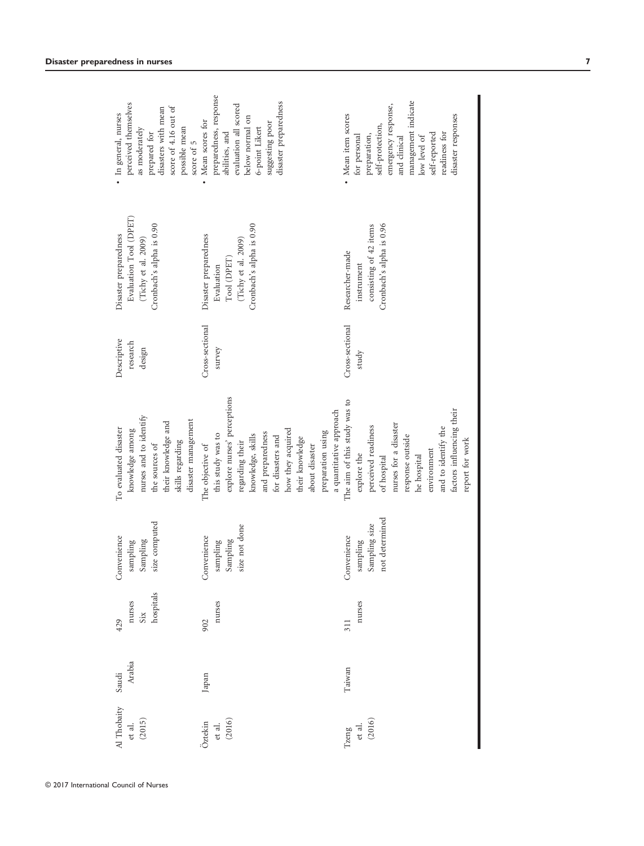| Al Thobaity<br>(2015)<br>et al.<br>(2016)<br>Öztekin<br>et al. | Arabia<br>Saudi<br>Japan | hospitals<br>nurses<br>nurses<br>$\rm SiX$<br>429<br>902 | size computed<br>Convenience<br>Convenience<br>Sampling<br>sampling<br>sampling | nurses and to identify<br>disaster management<br>their knowledge and<br>To evaluated disaster<br>knowledge among<br>this study was to<br>skills regarding<br>the sources of<br>The objective of                                     | Cross-sectional<br>Descriptive<br>research<br>design<br>survey | Evaluation Tool (DPET)<br>Cronbach's alpha is 0.90<br>Disaster preparedness<br>Disaster preparedness<br>(Tichy et al. 2009)<br>Evaluation | preparedness, response<br>perceived themselves<br>score of 4.16 out of<br>disasters with mean<br>· In general, nurses<br>Mean scores for<br>possible mean<br>as moderately<br>prepared for<br>score of 5     |
|----------------------------------------------------------------|--------------------------|----------------------------------------------------------|---------------------------------------------------------------------------------|-------------------------------------------------------------------------------------------------------------------------------------------------------------------------------------------------------------------------------------|----------------------------------------------------------------|-------------------------------------------------------------------------------------------------------------------------------------------|--------------------------------------------------------------------------------------------------------------------------------------------------------------------------------------------------------------|
|                                                                |                          |                                                          | size not done<br>Sampling                                                       | explore nurses' perceptions<br>a quantitative approach<br>how they acquired<br>preparation using<br>and preparedness<br>knowledge, skills<br>for disasters and<br>their knowledge<br>regarding their<br>about disaster              |                                                                | Cronbach's alpha is 0.90<br>(Tichy et al. 2009)<br>${\rm Tool}$ $({\rm DPET})$                                                            | disaster preparedness<br>evaluation all scored<br>below normal on<br>suggesting poor<br>6-point Likert<br>abilities, and                                                                                     |
| et al.<br>(2016)<br>Tzeng                                      | Taiwan                   | nurses<br>311                                            | not determined<br>Sampling size<br>Convenience<br>sampling                      | The aim of this study was to<br>factors influencing their<br>nurses for a disaster<br>perceived readiness<br>and to identify the<br>response outside<br>report for work<br>environment<br>explore the<br>he hospital<br>of hospital | Cross-sectional<br>study                                       | Cronbach's alpha is 0.96<br>consisting of 42 items<br>Researcher-made<br>instrument                                                       | management indicate<br>emergency response,<br>disaster responses<br>• Mean item scores<br>self-protection,<br>readiness for<br>self-reported<br>preparation,<br>for personal<br>low level of<br>and clinical |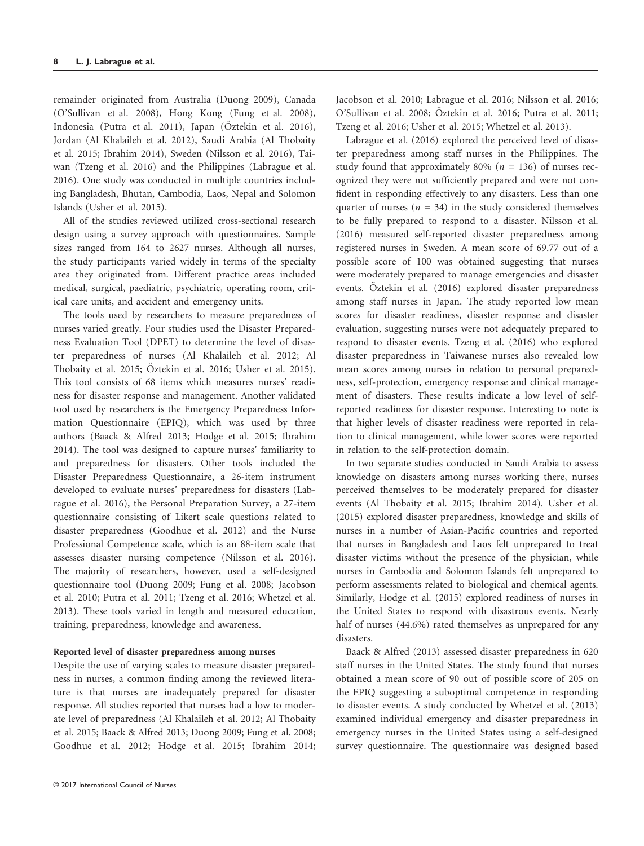remainder originated from Australia (Duong 2009), Canada (O'Sullivan et al. 2008), Hong Kong (Fung et al. 2008), Indonesia (Putra et al. 2011), Japan (Öztekin et al. 2016), Jordan (Al Khalaileh et al. 2012), Saudi Arabia (Al Thobaity et al. 2015; Ibrahim 2014), Sweden (Nilsson et al. 2016), Taiwan (Tzeng et al. 2016) and the Philippines (Labrague et al. 2016). One study was conducted in multiple countries including Bangladesh, Bhutan, Cambodia, Laos, Nepal and Solomon Islands (Usher et al. 2015).

All of the studies reviewed utilized cross-sectional research design using a survey approach with questionnaires. Sample sizes ranged from 164 to 2627 nurses. Although all nurses, the study participants varied widely in terms of the specialty area they originated from. Different practice areas included medical, surgical, paediatric, psychiatric, operating room, critical care units, and accident and emergency units.

The tools used by researchers to measure preparedness of nurses varied greatly. Four studies used the Disaster Preparedness Evaluation Tool (DPET) to determine the level of disaster preparedness of nurses (Al Khalaileh et al. 2012; Al Thobaity et al. 2015; Öztekin et al. 2016; Usher et al. 2015). This tool consists of 68 items which measures nurses' readiness for disaster response and management. Another validated tool used by researchers is the Emergency Preparedness Information Questionnaire (EPIQ), which was used by three authors (Baack & Alfred 2013; Hodge et al. 2015; Ibrahim 2014). The tool was designed to capture nurses' familiarity to and preparedness for disasters. Other tools included the Disaster Preparedness Questionnaire, a 26-item instrument developed to evaluate nurses' preparedness for disasters (Labrague et al. 2016), the Personal Preparation Survey, a 27-item questionnaire consisting of Likert scale questions related to disaster preparedness (Goodhue et al. 2012) and the Nurse Professional Competence scale, which is an 88-item scale that assesses disaster nursing competence (Nilsson et al. 2016). The majority of researchers, however, used a self-designed questionnaire tool (Duong 2009; Fung et al. 2008; Jacobson et al. 2010; Putra et al. 2011; Tzeng et al. 2016; Whetzel et al. 2013). These tools varied in length and measured education, training, preparedness, knowledge and awareness.

## Reported level of disaster preparedness among nurses

Despite the use of varying scales to measure disaster preparedness in nurses, a common finding among the reviewed literature is that nurses are inadequately prepared for disaster response. All studies reported that nurses had a low to moderate level of preparedness (Al Khalaileh et al. 2012; Al Thobaity et al. 2015; Baack & Alfred 2013; Duong 2009; Fung et al. 2008; Goodhue et al. 2012; Hodge et al. 2015; Ibrahim 2014;

Jacobson et al. 2010; Labrague et al. 2016; Nilsson et al. 2016; O'Sullivan et al. 2008; Öztekin et al. 2016; Putra et al. 2011; Tzeng et al. 2016; Usher et al. 2015; Whetzel et al. 2013).

Labrague et al. (2016) explored the perceived level of disaster preparedness among staff nurses in the Philippines. The study found that approximately 80% ( $n = 136$ ) of nurses recognized they were not sufficiently prepared and were not confident in responding effectively to any disasters. Less than one quarter of nurses ( $n = 34$ ) in the study considered themselves to be fully prepared to respond to a disaster. Nilsson et al. (2016) measured self-reported disaster preparedness among registered nurses in Sweden. A mean score of 69.77 out of a possible score of 100 was obtained suggesting that nurses were moderately prepared to manage emergencies and disaster events. Öztekin et al. (2016) explored disaster preparedness among staff nurses in Japan. The study reported low mean scores for disaster readiness, disaster response and disaster evaluation, suggesting nurses were not adequately prepared to respond to disaster events. Tzeng et al. (2016) who explored disaster preparedness in Taiwanese nurses also revealed low mean scores among nurses in relation to personal preparedness, self-protection, emergency response and clinical management of disasters. These results indicate a low level of selfreported readiness for disaster response. Interesting to note is that higher levels of disaster readiness were reported in relation to clinical management, while lower scores were reported in relation to the self-protection domain.

In two separate studies conducted in Saudi Arabia to assess knowledge on disasters among nurses working there, nurses perceived themselves to be moderately prepared for disaster events (Al Thobaity et al. 2015; Ibrahim 2014). Usher et al. (2015) explored disaster preparedness, knowledge and skills of nurses in a number of Asian-Pacific countries and reported that nurses in Bangladesh and Laos felt unprepared to treat disaster victims without the presence of the physician, while nurses in Cambodia and Solomon Islands felt unprepared to perform assessments related to biological and chemical agents. Similarly, Hodge et al. (2015) explored readiness of nurses in the United States to respond with disastrous events. Nearly half of nurses (44.6%) rated themselves as unprepared for any disasters.

Baack & Alfred (2013) assessed disaster preparedness in 620 staff nurses in the United States. The study found that nurses obtained a mean score of 90 out of possible score of 205 on the EPIQ suggesting a suboptimal competence in responding to disaster events. A study conducted by Whetzel et al. (2013) examined individual emergency and disaster preparedness in emergency nurses in the United States using a self-designed survey questionnaire. The questionnaire was designed based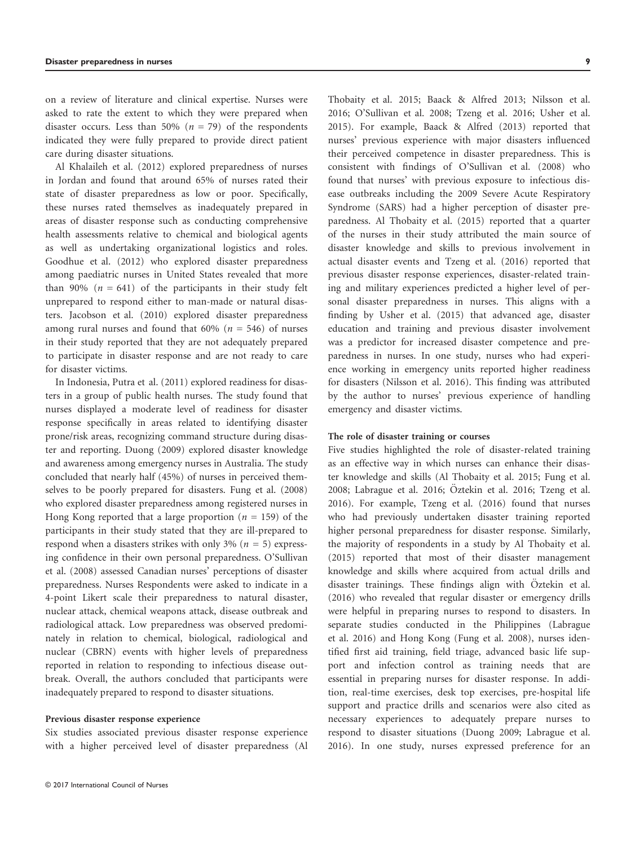on a review of literature and clinical expertise. Nurses were asked to rate the extent to which they were prepared when disaster occurs. Less than 50% ( $n = 79$ ) of the respondents indicated they were fully prepared to provide direct patient care during disaster situations.

Al Khalaileh et al. (2012) explored preparedness of nurses in Jordan and found that around 65% of nurses rated their state of disaster preparedness as low or poor. Specifically, these nurses rated themselves as inadequately prepared in areas of disaster response such as conducting comprehensive health assessments relative to chemical and biological agents as well as undertaking organizational logistics and roles. Goodhue et al. (2012) who explored disaster preparedness among paediatric nurses in United States revealed that more than 90% ( $n = 641$ ) of the participants in their study felt unprepared to respond either to man-made or natural disasters. Jacobson et al. (2010) explored disaster preparedness among rural nurses and found that  $60\%$  ( $n = 546$ ) of nurses in their study reported that they are not adequately prepared to participate in disaster response and are not ready to care for disaster victims.

In Indonesia, Putra et al. (2011) explored readiness for disasters in a group of public health nurses. The study found that nurses displayed a moderate level of readiness for disaster response specifically in areas related to identifying disaster prone/risk areas, recognizing command structure during disaster and reporting. Duong (2009) explored disaster knowledge and awareness among emergency nurses in Australia. The study concluded that nearly half (45%) of nurses in perceived themselves to be poorly prepared for disasters. Fung et al. (2008) who explored disaster preparedness among registered nurses in Hong Kong reported that a large proportion ( $n = 159$ ) of the participants in their study stated that they are ill-prepared to respond when a disasters strikes with only 3% ( $n = 5$ ) expressing confidence in their own personal preparedness. O'Sullivan et al. (2008) assessed Canadian nurses' perceptions of disaster preparedness. Nurses Respondents were asked to indicate in a 4-point Likert scale their preparedness to natural disaster, nuclear attack, chemical weapons attack, disease outbreak and radiological attack. Low preparedness was observed predominately in relation to chemical, biological, radiological and nuclear (CBRN) events with higher levels of preparedness reported in relation to responding to infectious disease outbreak. Overall, the authors concluded that participants were inadequately prepared to respond to disaster situations.

#### Previous disaster response experience

Six studies associated previous disaster response experience with a higher perceived level of disaster preparedness (Al Thobaity et al. 2015; Baack & Alfred 2013; Nilsson et al. 2016; O'Sullivan et al. 2008; Tzeng et al. 2016; Usher et al. 2015). For example, Baack & Alfred (2013) reported that nurses' previous experience with major disasters influenced their perceived competence in disaster preparedness. This is consistent with findings of O'Sullivan et al. (2008) who found that nurses' with previous exposure to infectious disease outbreaks including the 2009 Severe Acute Respiratory Syndrome (SARS) had a higher perception of disaster preparedness. Al Thobaity et al. (2015) reported that a quarter of the nurses in their study attributed the main source of disaster knowledge and skills to previous involvement in actual disaster events and Tzeng et al. (2016) reported that previous disaster response experiences, disaster-related training and military experiences predicted a higher level of personal disaster preparedness in nurses. This aligns with a finding by Usher et al. (2015) that advanced age, disaster education and training and previous disaster involvement was a predictor for increased disaster competence and preparedness in nurses. In one study, nurses who had experience working in emergency units reported higher readiness for disasters (Nilsson et al. 2016). This finding was attributed by the author to nurses' previous experience of handling emergency and disaster victims.

#### The role of disaster training or courses

Five studies highlighted the role of disaster-related training as an effective way in which nurses can enhance their disaster knowledge and skills (Al Thobaity et al. 2015; Fung et al. 2008; Labrague et al. 2016; Öztekin et al. 2016; Tzeng et al. 2016). For example, Tzeng et al. (2016) found that nurses who had previously undertaken disaster training reported higher personal preparedness for disaster response. Similarly, the majority of respondents in a study by Al Thobaity et al. (2015) reported that most of their disaster management knowledge and skills where acquired from actual drills and disaster trainings. These findings align with Öztekin et al. (2016) who revealed that regular disaster or emergency drills were helpful in preparing nurses to respond to disasters. In separate studies conducted in the Philippines (Labrague et al. 2016) and Hong Kong (Fung et al. 2008), nurses identified first aid training, field triage, advanced basic life support and infection control as training needs that are essential in preparing nurses for disaster response. In addition, real-time exercises, desk top exercises, pre-hospital life support and practice drills and scenarios were also cited as necessary experiences to adequately prepare nurses to respond to disaster situations (Duong 2009; Labrague et al. 2016). In one study, nurses expressed preference for an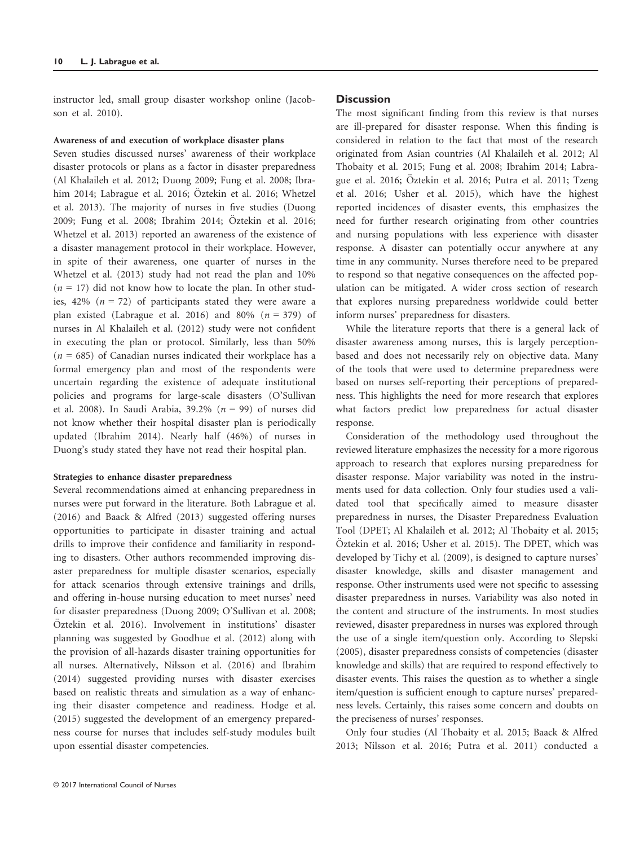instructor led, small group disaster workshop online (Jacobson et al. 2010).

## Awareness of and execution of workplace disaster plans

Seven studies discussed nurses' awareness of their workplace disaster protocols or plans as a factor in disaster preparedness (Al Khalaileh et al. 2012; Duong 2009; Fung et al. 2008; Ibrahim 2014; Labrague et al. 2016; Öztekin et al. 2016; Whetzel et al. 2013). The majority of nurses in five studies (Duong 2009; Fung et al. 2008; Ibrahim 2014; Öztekin et al. 2016; Whetzel et al. 2013) reported an awareness of the existence of a disaster management protocol in their workplace. However, in spite of their awareness, one quarter of nurses in the Whetzel et al. (2013) study had not read the plan and 10%  $(n = 17)$  did not know how to locate the plan. In other studies, 42% ( $n = 72$ ) of participants stated they were aware a plan existed (Labrague et al. 2016) and 80%  $(n = 379)$  of nurses in Al Khalaileh et al. (2012) study were not confident in executing the plan or protocol. Similarly, less than 50%  $(n = 685)$  of Canadian nurses indicated their workplace has a formal emergency plan and most of the respondents were uncertain regarding the existence of adequate institutional policies and programs for large-scale disasters (O'Sullivan et al. 2008). In Saudi Arabia, 39.2% ( $n = 99$ ) of nurses did not know whether their hospital disaster plan is periodically updated (Ibrahim 2014). Nearly half (46%) of nurses in Duong's study stated they have not read their hospital plan.

# Strategies to enhance disaster preparedness

Several recommendations aimed at enhancing preparedness in nurses were put forward in the literature. Both Labrague et al. (2016) and Baack & Alfred (2013) suggested offering nurses opportunities to participate in disaster training and actual drills to improve their confidence and familiarity in responding to disasters. Other authors recommended improving disaster preparedness for multiple disaster scenarios, especially for attack scenarios through extensive trainings and drills, and offering in-house nursing education to meet nurses' need for disaster preparedness (Duong 2009; O'Sullivan et al. 2008;  $Ö$ ztekin et al. 2016). Involvement in institutions' disaster planning was suggested by Goodhue et al. (2012) along with the provision of all-hazards disaster training opportunities for all nurses. Alternatively, Nilsson et al. (2016) and Ibrahim (2014) suggested providing nurses with disaster exercises based on realistic threats and simulation as a way of enhancing their disaster competence and readiness. Hodge et al. (2015) suggested the development of an emergency preparedness course for nurses that includes self-study modules built upon essential disaster competencies.

# **Discussion**

The most significant finding from this review is that nurses are ill-prepared for disaster response. When this finding is considered in relation to the fact that most of the research originated from Asian countries (Al Khalaileh et al. 2012; Al Thobaity et al. 2015; Fung et al. 2008; Ibrahim 2014; Labrague et al. 2016; Öztekin et al. 2016; Putra et al. 2011; Tzeng et al. 2016; Usher et al. 2015), which have the highest reported incidences of disaster events, this emphasizes the need for further research originating from other countries and nursing populations with less experience with disaster response. A disaster can potentially occur anywhere at any time in any community. Nurses therefore need to be prepared to respond so that negative consequences on the affected population can be mitigated. A wider cross section of research that explores nursing preparedness worldwide could better inform nurses' preparedness for disasters.

While the literature reports that there is a general lack of disaster awareness among nurses, this is largely perceptionbased and does not necessarily rely on objective data. Many of the tools that were used to determine preparedness were based on nurses self-reporting their perceptions of preparedness. This highlights the need for more research that explores what factors predict low preparedness for actual disaster response.

Consideration of the methodology used throughout the reviewed literature emphasizes the necessity for a more rigorous approach to research that explores nursing preparedness for disaster response. Major variability was noted in the instruments used for data collection. Only four studies used a validated tool that specifically aimed to measure disaster preparedness in nurses, the Disaster Preparedness Evaluation Tool (DPET; Al Khalaileh et al. 2012; Al Thobaity et al. 2015;  $O$ ztekin et al. 2016; Usher et al. 2015). The DPET, which was developed by Tichy et al. (2009), is designed to capture nurses' disaster knowledge, skills and disaster management and response. Other instruments used were not specific to assessing disaster preparedness in nurses. Variability was also noted in the content and structure of the instruments. In most studies reviewed, disaster preparedness in nurses was explored through the use of a single item/question only. According to Slepski (2005), disaster preparedness consists of competencies (disaster knowledge and skills) that are required to respond effectively to disaster events. This raises the question as to whether a single item/question is sufficient enough to capture nurses' preparedness levels. Certainly, this raises some concern and doubts on the preciseness of nurses' responses.

Only four studies (Al Thobaity et al. 2015; Baack & Alfred 2013; Nilsson et al. 2016; Putra et al. 2011) conducted a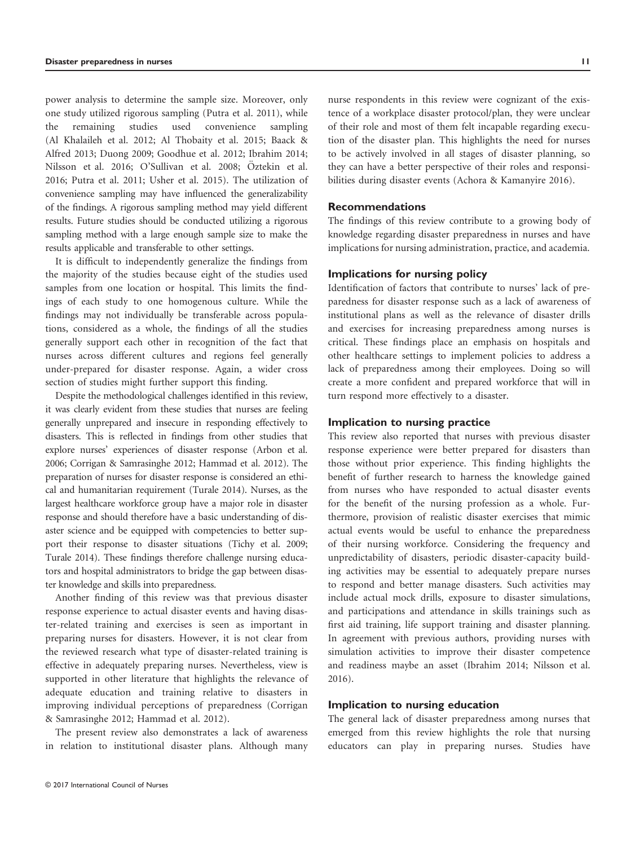power analysis to determine the sample size. Moreover, only one study utilized rigorous sampling (Putra et al. 2011), while the remaining studies used convenience sampling (Al Khalaileh et al. 2012; Al Thobaity et al. 2015; Baack & Alfred 2013; Duong 2009; Goodhue et al. 2012; Ibrahim 2014; Nilsson et al. 2016; O'Sullivan et al. 2008; Öztekin et al. 2016; Putra et al. 2011; Usher et al. 2015). The utilization of convenience sampling may have influenced the generalizability of the findings. A rigorous sampling method may yield different results. Future studies should be conducted utilizing a rigorous sampling method with a large enough sample size to make the results applicable and transferable to other settings.

It is difficult to independently generalize the findings from the majority of the studies because eight of the studies used samples from one location or hospital. This limits the findings of each study to one homogenous culture. While the findings may not individually be transferable across populations, considered as a whole, the findings of all the studies generally support each other in recognition of the fact that nurses across different cultures and regions feel generally under-prepared for disaster response. Again, a wider cross section of studies might further support this finding.

Despite the methodological challenges identified in this review, it was clearly evident from these studies that nurses are feeling generally unprepared and insecure in responding effectively to disasters. This is reflected in findings from other studies that explore nurses' experiences of disaster response (Arbon et al. 2006; Corrigan & Samrasinghe 2012; Hammad et al. 2012). The preparation of nurses for disaster response is considered an ethical and humanitarian requirement (Turale 2014). Nurses, as the largest healthcare workforce group have a major role in disaster response and should therefore have a basic understanding of disaster science and be equipped with competencies to better support their response to disaster situations (Tichy et al. 2009; Turale 2014). These findings therefore challenge nursing educators and hospital administrators to bridge the gap between disaster knowledge and skills into preparedness.

Another finding of this review was that previous disaster response experience to actual disaster events and having disaster-related training and exercises is seen as important in preparing nurses for disasters. However, it is not clear from the reviewed research what type of disaster-related training is effective in adequately preparing nurses. Nevertheless, view is supported in other literature that highlights the relevance of adequate education and training relative to disasters in improving individual perceptions of preparedness (Corrigan & Samrasinghe 2012; Hammad et al. 2012).

The present review also demonstrates a lack of awareness in relation to institutional disaster plans. Although many nurse respondents in this review were cognizant of the existence of a workplace disaster protocol/plan, they were unclear of their role and most of them felt incapable regarding execution of the disaster plan. This highlights the need for nurses to be actively involved in all stages of disaster planning, so they can have a better perspective of their roles and responsibilities during disaster events (Achora & Kamanyire 2016).

# Recommendations

The findings of this review contribute to a growing body of knowledge regarding disaster preparedness in nurses and have implications for nursing administration, practice, and academia.

## Implications for nursing policy

Identification of factors that contribute to nurses' lack of preparedness for disaster response such as a lack of awareness of institutional plans as well as the relevance of disaster drills and exercises for increasing preparedness among nurses is critical. These findings place an emphasis on hospitals and other healthcare settings to implement policies to address a lack of preparedness among their employees. Doing so will create a more confident and prepared workforce that will in turn respond more effectively to a disaster.

## Implication to nursing practice

This review also reported that nurses with previous disaster response experience were better prepared for disasters than those without prior experience. This finding highlights the benefit of further research to harness the knowledge gained from nurses who have responded to actual disaster events for the benefit of the nursing profession as a whole. Furthermore, provision of realistic disaster exercises that mimic actual events would be useful to enhance the preparedness of their nursing workforce. Considering the frequency and unpredictability of disasters, periodic disaster-capacity building activities may be essential to adequately prepare nurses to respond and better manage disasters. Such activities may include actual mock drills, exposure to disaster simulations, and participations and attendance in skills trainings such as first aid training, life support training and disaster planning. In agreement with previous authors, providing nurses with simulation activities to improve their disaster competence and readiness maybe an asset (Ibrahim 2014; Nilsson et al. 2016).

# Implication to nursing education

The general lack of disaster preparedness among nurses that emerged from this review highlights the role that nursing educators can play in preparing nurses. Studies have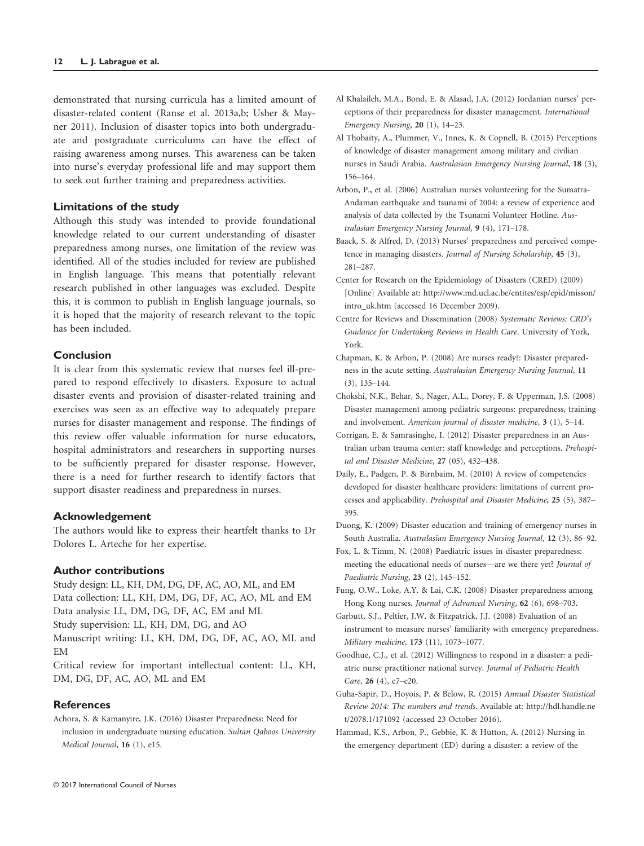demonstrated that nursing curricula has a limited amount of disaster-related content (Ranse et al. 2013a,b; Usher & Mayner 2011). Inclusion of disaster topics into both undergraduate and postgraduate curriculums can have the effect of raising awareness among nurses. This awareness can be taken into nurse's everyday professional life and may support them to seek out further training and preparedness activities.

### Limitations of the study

Although this study was intended to provide foundational knowledge related to our current understanding of disaster preparedness among nurses, one limitation of the review was identified. All of the studies included for review are published in English language. This means that potentially relevant research published in other languages was excluded. Despite this, it is common to publish in English language journals, so it is hoped that the majority of research relevant to the topic has been included.

### Conclusion

It is clear from this systematic review that nurses feel ill-prepared to respond effectively to disasters. Exposure to actual disaster events and provision of disaster-related training and exercises was seen as an effective way to adequately prepare nurses for disaster management and response. The findings of this review offer valuable information for nurse educators, hospital administrators and researchers in supporting nurses to be sufficiently prepared for disaster response. However, there is a need for further research to identify factors that support disaster readiness and preparedness in nurses.

#### Acknowledgement

The authors would like to express their heartfelt thanks to Dr Dolores L. Arteche for her expertise.

## Author contributions

Study design: LL, KH, DM, DG, DF, AC, AO, ML, and EM Data collection: LL, KH, DM, DG, DF, AC, AO, ML and EM Data analysis: LL, DM, DG, DF, AC, EM and ML Study supervision: LL, KH, DM, DG, and AO Manuscript writing: LL, KH, DM, DG, DF, AC, AO, ML and EM

Critical review for important intellectual content: LL, KH, DM, DG, DF, AC, AO, ML and EM

# **References**

Achora, S. & Kamanyire, J.K. (2016) Disaster Preparedness: Need for inclusion in undergraduate nursing education. Sultan Qaboos University Medical Journal, 16 (1), e15.

- Al Khalaileh, M.A., Bond, E. & Alasad, J.A. (2012) Jordanian nurses' perceptions of their preparedness for disaster management. International Emergency Nursing, 20 (1), 14–23.
- Al Thobaity, A., Plummer, V., Innes, K. & Copnell, B. (2015) Perceptions of knowledge of disaster management among military and civilian nurses in Saudi Arabia. Australasian Emergency Nursing Journal, 18 (3), 156–164.
- Arbon, P., et al. (2006) Australian nurses volunteering for the Sumatra-Andaman earthquake and tsunami of 2004: a review of experience and analysis of data collected by the Tsunami Volunteer Hotline. Australasian Emergency Nursing Journal, 9 (4), 171–178.
- Baack, S. & Alfred, D. (2013) Nurses' preparedness and perceived competence in managing disasters. Journal of Nursing Scholarship, 45 (3), 281–287.
- Center for Research on the Epidemiology of Disasters (CRED) (2009) [Online] Available at: [http://www.md.ucl.ac.be/entites/esp/epid/misson/](http://www.md.ucl.ac.be/entites/esp/epid/misson/intro_uk.htm) [intro\\_uk.htm](http://www.md.ucl.ac.be/entites/esp/epid/misson/intro_uk.htm) (accessed 16 December 2009).
- Centre for Reviews and Dissemination (2008) Systematic Reviews: CRD's Guidance for Undertaking Reviews in Health Care. University of York, York.
- Chapman, K. & Arbon, P. (2008) Are nurses ready?: Disaster preparedness in the acute setting. Australasian Emergency Nursing Journal, 11 (3), 135–144.
- Chokshi, N.K., Behar, S., Nager, A.L., Dorey, F. & Upperman, J.S. (2008) Disaster management among pediatric surgeons: preparedness, training and involvement. American journal of disaster medicine, 3 (1), 5–14.
- Corrigan, E. & Samrasinghe, I. (2012) Disaster preparedness in an Australian urban trauma center: staff knowledge and perceptions. Prehospital and Disaster Medicine, 27 (05), 432–438.
- Daily, E., Padgen, P. & Birnbaim, M. (2010) A review of competencies developed for disaster healthcare providers: limitations of current processes and applicability. Prehospital and Disaster Medicine, 25 (5), 387– 395.
- Duong, K. (2009) Disaster education and training of emergency nurses in South Australia. Australasian Emergency Nursing Journal, 12 (3), 86–92.
- Fox, L. & Timm, N. (2008) Paediatric issues in disaster preparedness: meeting the educational needs of nurses—are we there yet? Journal of Paediatric Nursing, 23 (2), 145–152.

Fung, O.W., Loke, A.Y. & Lai, C.K. (2008) Disaster preparedness among Hong Kong nurses. Journal of Advanced Nursing, 62 (6), 698–703.

- Garbutt, S.J., Peltier, J.W. & Fitzpatrick, J.J. (2008) Evaluation of an instrument to measure nurses' familiarity with emergency preparedness. Military medicine, 173 (11), 1073–1077.
- Goodhue, C.J., et al. (2012) Willingness to respond in a disaster: a pediatric nurse practitioner national survey. Journal of Pediatric Health Care, 26 (4), e7–e20.
- Guha-Sapir, D., Hoyois, P. & Below, R. (2015) Annual Disaster Statistical Review 2014: The numbers and trends. Available at: [http://hdl.handle.ne](http://hdl.handle.net/2078.1/171092) [t/2078.1/171092](http://hdl.handle.net/2078.1/171092) (accessed 23 October 2016).
- Hammad, K.S., Arbon, P., Gebbie, K. & Hutton, A. (2012) Nursing in the emergency department (ED) during a disaster: a review of the